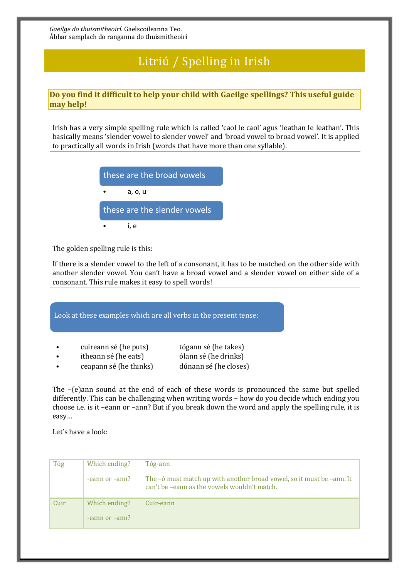*Gaeilge do thuismitheoirí*. Gaelscoileanna Teo. Ábhar samplach do ranganna do thuismitheoirí

## Litriú / Spelling in Irish

## **Do you find it difficult to help your child with Gaeilge spellings? This useful guide may help!**

Irish has a very simple spelling rule which is called 'caol le caol' agus 'leathan le leathan'. This basically means 'slender vowel to slender vowel' and 'broad vowel to broad vowel'. It is applied to practically all words in Irish (words that have more than one syllable).

| these are the broad vowels   |  |  |
|------------------------------|--|--|
| a, o, u                      |  |  |
| these are the slender vowels |  |  |
| ı. e                         |  |  |

The golden spelling rule is this:

If there is a slender vowel to the left of a consonant, it has to be matched on the other side with another slender vowel. You can't have a broad vowel and a slender vowel on either side of a consonant. This rule makes it easy to spell words!

Look at these examples which are all verbs in the present tense:

| cuireann sé (he puts) | tógann sé (he takes) |
|-----------------------|----------------------|
| itheann sé (he eats)  | ólann sé (he drinks) |

• ceapann sé (he thinks) dúnann sé (he closes)

The –(e)ann sound at the end of each of these words is pronounced the same but spelled differently. This can be challenging when writing words – how do you decide which ending you choose i.e. is it –eann or –ann? But if you break down the word and apply the spelling rule, it is easy…

Let's have a look:

| Tóg  | Which ending?  | Tóg-ann                                                                                                               |
|------|----------------|-----------------------------------------------------------------------------------------------------------------------|
|      | -eann or -ann? | The -6 must match up with another broad vowel, so it must be -ann. It<br>can't be -eann as the vowels wouldn't match. |
| Cuir | Which ending?  | Cuir-eann                                                                                                             |
|      | -eann or -ann? |                                                                                                                       |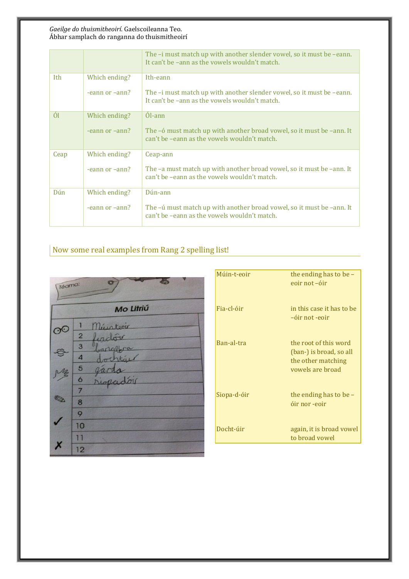## *Gaeilge do thuismitheoirí*. Gaelscoileanna Teo. Ábhar samplach do ranganna do thuismitheoirí

|      |                | The –i must match up with another slender vowel, so it must be –eann.<br>It can't be -ann as the vowels wouldn't match. |
|------|----------------|-------------------------------------------------------------------------------------------------------------------------|
| Ith  | Which ending?  | Ith-eann                                                                                                                |
|      | -eann or -ann? | The –i must match up with another slender vowel, so it must be –eann.<br>It can't be -ann as the vowels wouldn't match. |
| Ól   | Which ending?  | Ól-ann                                                                                                                  |
|      | -eann or -ann? | The -6 must match up with another broad vowel, so it must be -ann. It<br>can't be -eann as the vowels wouldn't match.   |
| Ceap | Which ending?  | Ceap-ann                                                                                                                |
|      | -eann or -ann? | The -a must match up with another broad vowel, so it must be -ann. It<br>can't be -eann as the vowels wouldn't match.   |
| Dún  | Which ending?  | Dún-ann                                                                                                                 |
|      | -eann or -ann? | The -ú must match up with another broad vowel, so it must be -ann. It<br>can't be -eann as the vowels wouldn't match.   |

## Now some real examples from Rang 2 spelling list!



| Múin-t-eoir | the ending has to be $-$<br>eoir not -óir                                                  |
|-------------|--------------------------------------------------------------------------------------------|
| Fia-cl-óir  | in this case it has to be<br>-óir not -eoir                                                |
| Ban-al-tra  | the root of this word<br>(ban-) is broad, so all<br>the other matching<br>vowels are broad |
| Siopa-d-óir | the ending has to be $-$<br>óir nor -eoir                                                  |
| Docht-úir   | again, it is broad vowel<br>to broad vowel                                                 |